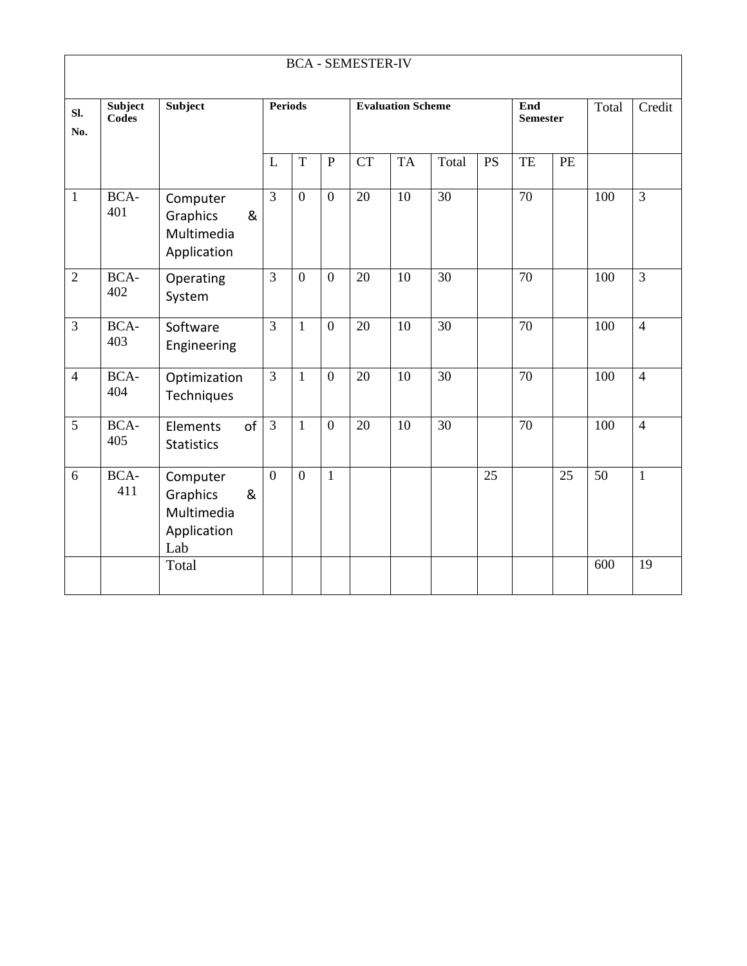| <b>BCA - SEMESTER-IV</b> |                  |                                                               |                                            |                  |                        |           |           |                 |           |                 |    |     |                |
|--------------------------|------------------|---------------------------------------------------------------|--------------------------------------------|------------------|------------------------|-----------|-----------|-----------------|-----------|-----------------|----|-----|----------------|
| SI.<br>No.               | Subject<br>Codes | Subject                                                       | <b>Periods</b><br><b>Evaluation Scheme</b> |                  | End<br><b>Semester</b> |           | Total     | Credit          |           |                 |    |     |                |
|                          |                  |                                                               | L                                          | T                | $\mathbf{P}$           | <b>CT</b> | <b>TA</b> | Total           | <b>PS</b> | TE              | PE |     |                |
| 1                        | BCA-<br>401      | Computer<br>Graphics<br>&<br>Multimedia<br>Application        | 3                                          | $\overline{0}$   | $\overline{0}$         | 20        | 10        | $\overline{30}$ |           | $\overline{70}$ |    | 100 | $\overline{3}$ |
| $\overline{2}$           | BCA-<br>402      | Operating<br>System                                           | $\overline{3}$                             | $\overline{0}$   | $\overline{0}$         | 20        | 10        | 30              |           | 70              |    | 100 | $\overline{3}$ |
| $\overline{3}$           | BCA-<br>403      | Software<br>Engineering                                       | $\overline{3}$                             | $\mathbf{1}$     | $\overline{0}$         | 20        | 10        | 30              |           | 70              |    | 100 | $\overline{4}$ |
| $\overline{4}$           | BCA-<br>404      | Optimization<br>Techniques                                    | $\overline{3}$                             | $\mathbf{1}$     | $\overline{0}$         | 20        | 10        | 30              |           | 70              |    | 100 | $\overline{4}$ |
| 5                        | BCA-<br>405      | of<br>Elements<br><b>Statistics</b>                           | $\overline{3}$                             | $\mathbf{1}$     | $\boldsymbol{0}$       | 20        | 10        | 30              |           | 70              |    | 100 | $\overline{4}$ |
| 6                        | BCA-<br>411      | Computer<br>Graphics<br>&<br>Multimedia<br>Application<br>Lab | $\overline{0}$                             | $\boldsymbol{0}$ | $\mathbf{1}$           |           |           |                 | 25        |                 | 25 | 50  | $\mathbf{1}$   |
|                          |                  | Total                                                         |                                            |                  |                        |           |           |                 |           |                 |    | 600 | 19             |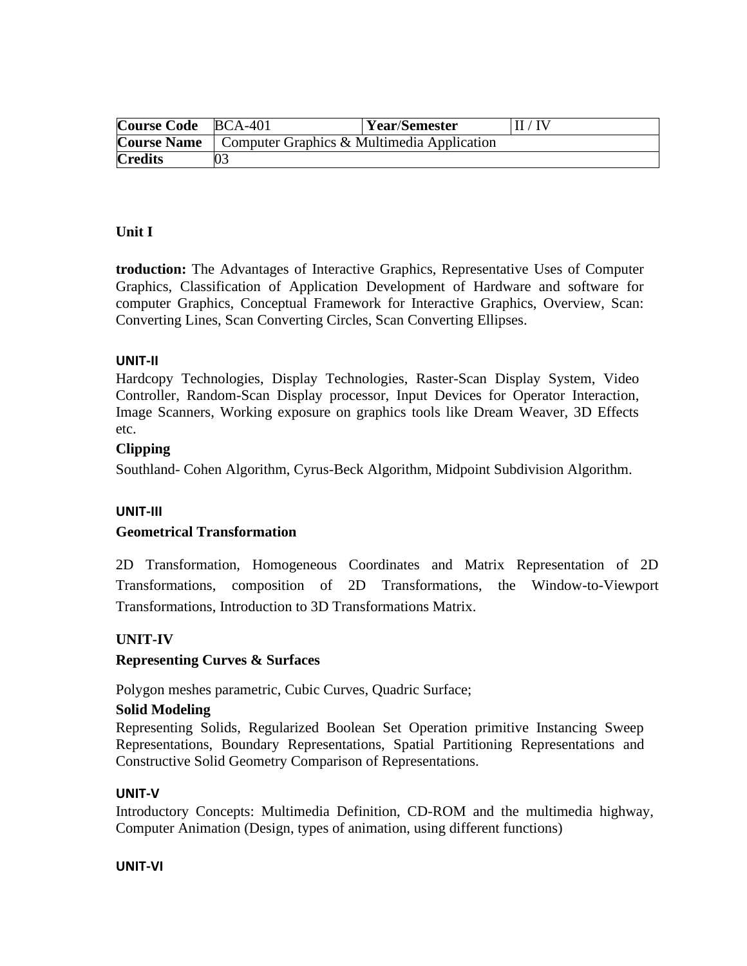| Course Code BCA-401 |                                                                 | <b>Year/Semester</b> | II / IV |  |  |
|---------------------|-----------------------------------------------------------------|----------------------|---------|--|--|
|                     | <b>Course Name</b>   Computer Graphics & Multimedia Application |                      |         |  |  |
| <b>Credits</b>      |                                                                 |                      |         |  |  |

## **Unit I**

**troduction:** The Advantages of Interactive Graphics, Representative Uses of Computer Graphics, Classification of Application Development of Hardware and software for computer Graphics, Conceptual Framework for Interactive Graphics, Overview, Scan: Converting Lines, Scan Converting Circles, Scan Converting Ellipses.

#### **UNIT-II**

Hardcopy Technologies, Display Technologies, Raster-Scan Display System, Video Controller, Random-Scan Display processor, Input Devices for Operator Interaction, Image Scanners, Working exposure on graphics tools like Dream Weaver, 3D Effects etc.

## **Clipping**

Southland- Cohen Algorithm, Cyrus-Beck Algorithm, Midpoint Subdivision Algorithm.

#### **UNIT-III**

#### **Geometrical Transformation**

2D Transformation, Homogeneous Coordinates and Matrix Representation of 2D Transformations, composition of 2D Transformations, the Window-to-Viewport Transformations, Introduction to 3D Transformations Matrix.

# **UNIT-IV**

# **Representing Curves & Surfaces**

Polygon meshes parametric, Cubic Curves, Quadric Surface;

#### **Solid Modeling**

Representing Solids, Regularized Boolean Set Operation primitive Instancing Sweep Representations, Boundary Representations, Spatial Partitioning Representations and Constructive Solid Geometry Comparison of Representations.

#### **UNIT-V**

Introductory Concepts: Multimedia Definition, CD-ROM and the multimedia highway, Computer Animation (Design, types of animation, using different functions)

#### **UNIT-VI**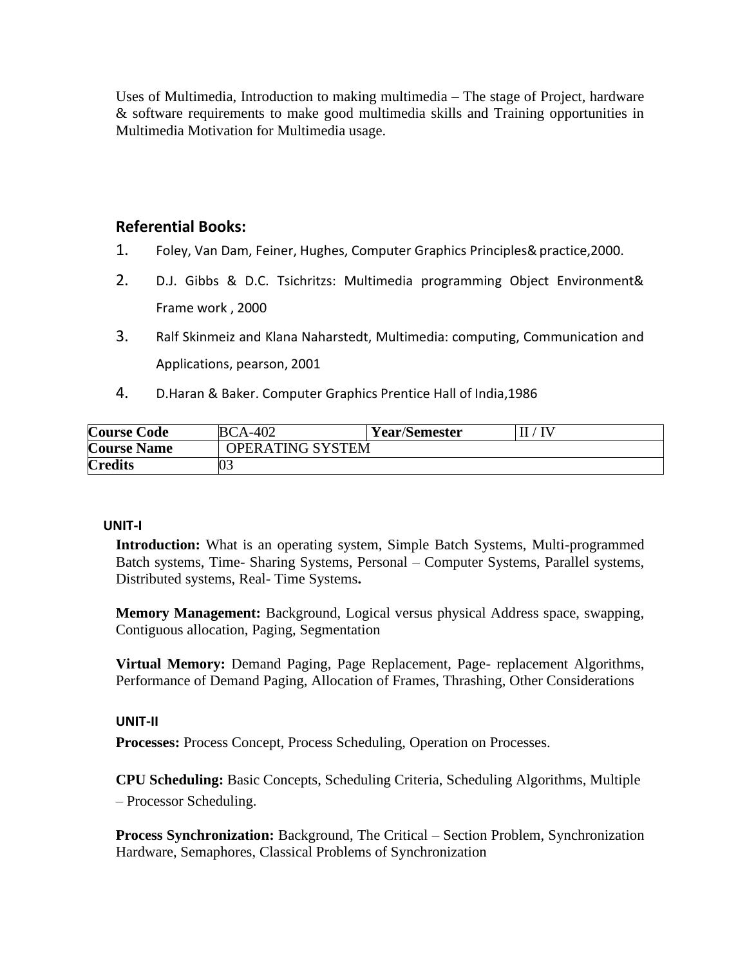Uses of Multimedia, Introduction to making multimedia – The stage of Project, hardware & software requirements to make good multimedia skills and Training opportunities in Multimedia Motivation for Multimedia usage.

# **Referential Books:**

- 1. Foley, Van Dam, Feiner, Hughes, Computer Graphics Principles&practice,2000.
- 2. D.J. Gibbs & D.C. Tsichritzs: Multimedia programming Object Environment& Frame work , 2000
- 3. Ralf Skinmeiz and Klana Naharstedt, Multimedia: computing, Communication and Applications, pearson, 2001
- 4. D.Haran & Baker. Computer Graphics Prentice Hall of India,1986

| <b>Course Code</b> | <b>BCA-402</b>   | <b>Year/Semester</b> |  |
|--------------------|------------------|----------------------|--|
| <b>Course Name</b> | OPERATING SYSTEM |                      |  |
| <b>Credits</b>     |                  |                      |  |

#### **UNIT-I**

**Introduction:** What is an operating system, Simple Batch Systems, Multi-programmed Batch systems, Time- Sharing Systems, Personal – Computer Systems, Parallel systems, Distributed systems, Real- Time Systems**.**

**Memory Management:** Background, Logical versus physical Address space, swapping, Contiguous allocation, Paging, Segmentation

**Virtual Memory:** Demand Paging, Page Replacement, Page- replacement Algorithms, Performance of Demand Paging, Allocation of Frames, Thrashing, Other Considerations

#### **UNIT-II**

**Processes:** Process Concept, Process Scheduling, Operation on Processes.

**CPU Scheduling:** Basic Concepts, Scheduling Criteria, Scheduling Algorithms, Multiple – Processor Scheduling.

**Process Synchronization:** Background, The Critical – Section Problem, Synchronization Hardware, Semaphores, Classical Problems of Synchronization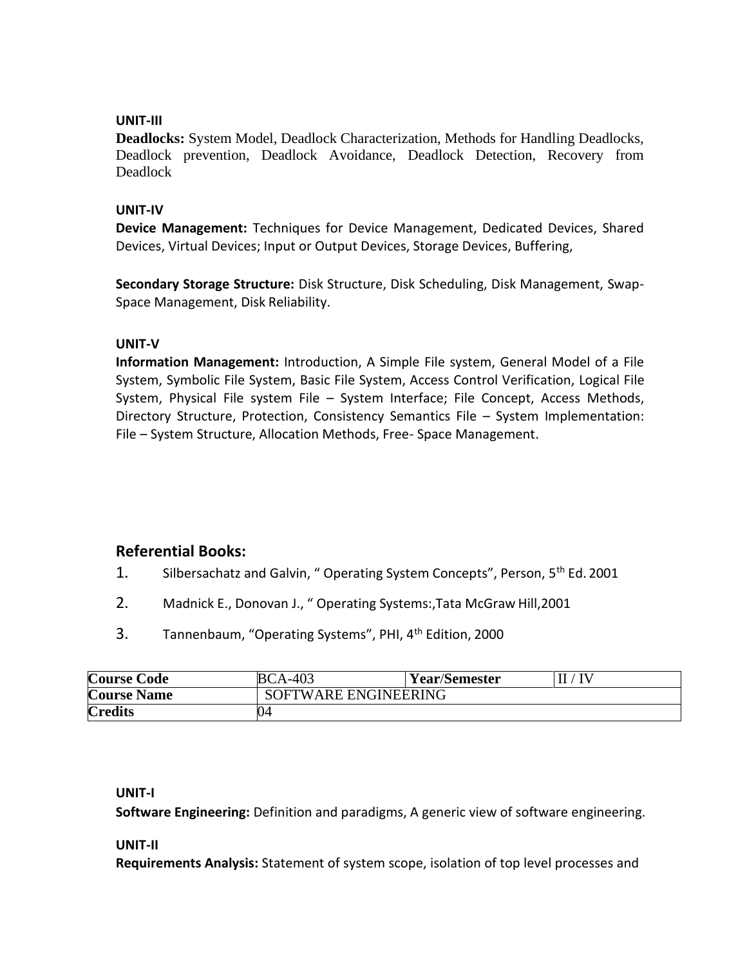## **UNIT-III**

**Deadlocks:** System Model, Deadlock Characterization, Methods for Handling Deadlocks, Deadlock prevention, Deadlock Avoidance, Deadlock Detection, Recovery from Deadlock

#### **UNIT-IV**

**Device Management:** Techniques for Device Management, Dedicated Devices, Shared Devices, Virtual Devices; Input or Output Devices, Storage Devices, Buffering,

**Secondary Storage Structure:** Disk Structure, Disk Scheduling, Disk Management, Swap-Space Management, Disk Reliability.

#### **UNIT-V**

**Information Management:** Introduction, A Simple File system, General Model of a File System, Symbolic File System, Basic File System, Access Control Verification, Logical File System, Physical File system File – System Interface; File Concept, Access Methods, Directory Structure, Protection, Consistency Semantics File – System Implementation: File – System Structure, Allocation Methods, Free- Space Management.

# **Referential Books:**

- 1. Silbersachatz and Galvin, " Operating System Concepts", Person, 5<sup>th</sup> Ed. 2001
- 2. Madnick E., Donovan J., " Operating Systems:,Tata McGraw Hill,2001
- 3. Tannenbaum, "Operating Systems", PHI, 4th Edition, 2000

| <b>Course Code</b> | <b>BCA-403</b>       | <b>Year/Semester</b> |  |  |  |
|--------------------|----------------------|----------------------|--|--|--|
| <b>Course Name</b> | SOFTWARE ENGINEERING |                      |  |  |  |
| <b>Credits</b>     | 4١.                  |                      |  |  |  |

#### **UNIT-I**

**Software Engineering:** Definition and paradigms, A generic view of software engineering.

#### **UNIT-II**

**Requirements Analysis:** Statement of system scope, isolation of top level processes and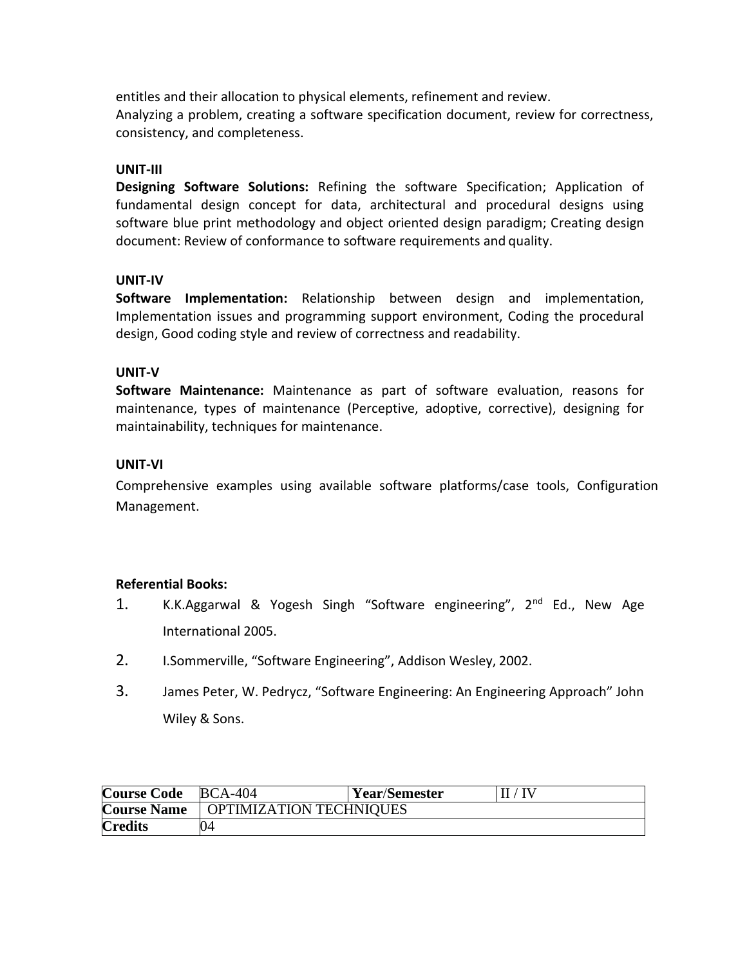entitles and their allocation to physical elements, refinement and review. Analyzing a problem, creating a software specification document, review for correctness, consistency, and completeness.

#### **UNIT-III**

**Designing Software Solutions:** Refining the software Specification; Application of fundamental design concept for data, architectural and procedural designs using software blue print methodology and object oriented design paradigm; Creating design document: Review of conformance to software requirements and quality.

#### **UNIT-IV**

**Software Implementation:** Relationship between design and implementation, Implementation issues and programming support environment, Coding the procedural design, Good coding style and review of correctness and readability.

#### **UNIT-V**

**Software Maintenance:** Maintenance as part of software evaluation, reasons for maintenance, types of maintenance (Perceptive, adoptive, corrective), designing for maintainability, techniques for maintenance.

#### **UNIT-VI**

Comprehensive examples using available software platforms/case tools, Configuration Management.

#### **Referential Books:**

- 1. K.K.Aggarwal & Yogesh Singh "Software engineering", 2nd Ed., New Age International 2005.
- 2. I.Sommerville, "Software Engineering", Addison Wesley, 2002.
- 3. James Peter, W. Pedrycz, "Software Engineering: An Engineering Approach" John Wiley & Sons.

| Course Code BCA-404 |                         | <b>Year/Semester</b> | $\Pi$ / $\Pi$ |  |
|---------------------|-------------------------|----------------------|---------------|--|
| <b>Course Name</b>  | OPTIMIZATION TECHNIQUES |                      |               |  |
| <b>Credits</b>      |                         |                      |               |  |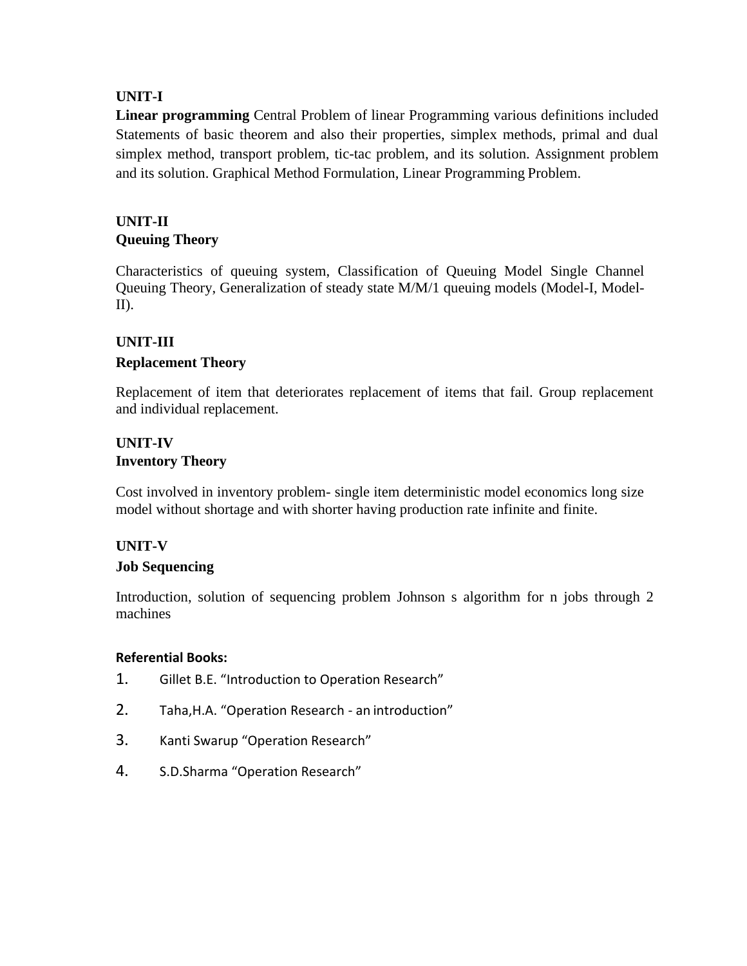# **UNIT-I**

**Linear programming** Central Problem of linear Programming various definitions included Statements of basic theorem and also their properties, simplex methods, primal and dual simplex method, transport problem, tic-tac problem, and its solution. Assignment problem and its solution. Graphical Method Formulation, Linear Programming Problem.

# **UNIT-II Queuing Theory**

Characteristics of queuing system, Classification of Queuing Model Single Channel Queuing Theory, Generalization of steady state M/M/1 queuing models (Model-I, Model-II).

# **UNIT-III**

# **Replacement Theory**

Replacement of item that deteriorates replacement of items that fail. Group replacement and individual replacement.

# **UNIT-IV Inventory Theory**

Cost involved in inventory problem- single item deterministic model economics long size model without shortage and with shorter having production rate infinite and finite.

# **UNIT-V**

# **Job Sequencing**

Introduction, solution of sequencing problem Johnson s algorithm for n jobs through 2 machines

# **Referential Books:**

- 1. Gillet B.E. "Introduction to Operation Research"
- 2. Taha,H.A. "Operation Research an introduction"
- 3. Kanti Swarup "Operation Research"
- 4. S.D.Sharma "Operation Research"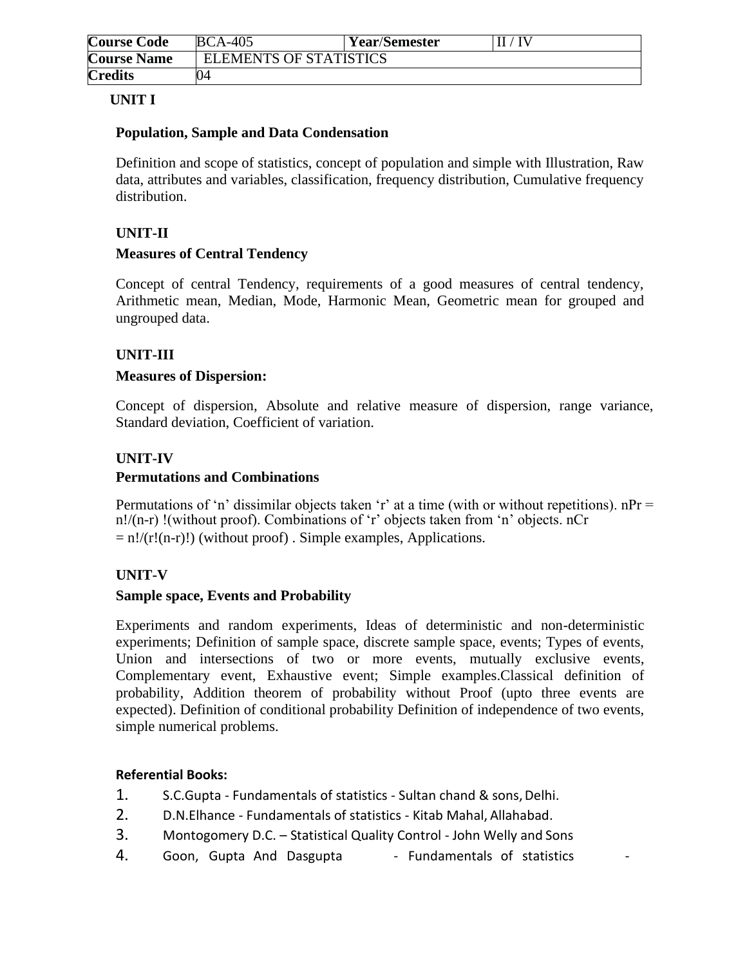| <b>Course Code</b> | <b>BCA-405</b>                | <b>Year/Semester</b> | TV |
|--------------------|-------------------------------|----------------------|----|
| <b>Course Name</b> | <b>ELEMENTS OF STATISTICS</b> |                      |    |
| <b>Credits</b>     | )4                            |                      |    |

# **UNIT I**

## **Population, Sample and Data Condensation**

Definition and scope of statistics, concept of population and simple with Illustration, Raw data, attributes and variables, classification, frequency distribution, Cumulative frequency distribution.

# **UNIT-II**

## **Measures of Central Tendency**

Concept of central Tendency, requirements of a good measures of central tendency, Arithmetic mean, Median, Mode, Harmonic Mean, Geometric mean for grouped and ungrouped data.

# **UNIT-III**

#### **Measures of Dispersion:**

Concept of dispersion, Absolute and relative measure of dispersion, range variance, Standard deviation, Coefficient of variation.

## **UNIT-IV**

## **Permutations and Combinations**

Permutations of 'n' dissimilar objects taken 'r' at a time (with or without repetitions).  $nPr =$ n!/(n-r) !(without proof). Combinations of 'r' objects taken from 'n' objects. nCr  $= n!/(r!(n-r)!)$  (without proof). Simple examples, Applications.

#### **UNIT-V**

#### **Sample space, Events and Probability**

Experiments and random experiments, Ideas of deterministic and non-deterministic experiments; Definition of sample space, discrete sample space, events; Types of events, Union and intersections of two or more events, mutually exclusive events, Complementary event, Exhaustive event; Simple examples.Classical definition of probability, Addition theorem of probability without Proof (upto three events are expected). Definition of conditional probability Definition of independence of two events, simple numerical problems.

#### **Referential Books:**

- 1. S.C.Gupta Fundamentals of statistics Sultan chand & sons, Delhi.
- 2. D.N.Elhance Fundamentals of statistics Kitab Mahal, Allahabad.
- 3. Montogomery D.C. Statistical Quality Control John Welly and Sons
- 4. Goon, Gupta And Dasgupta Fundamentals of statistics